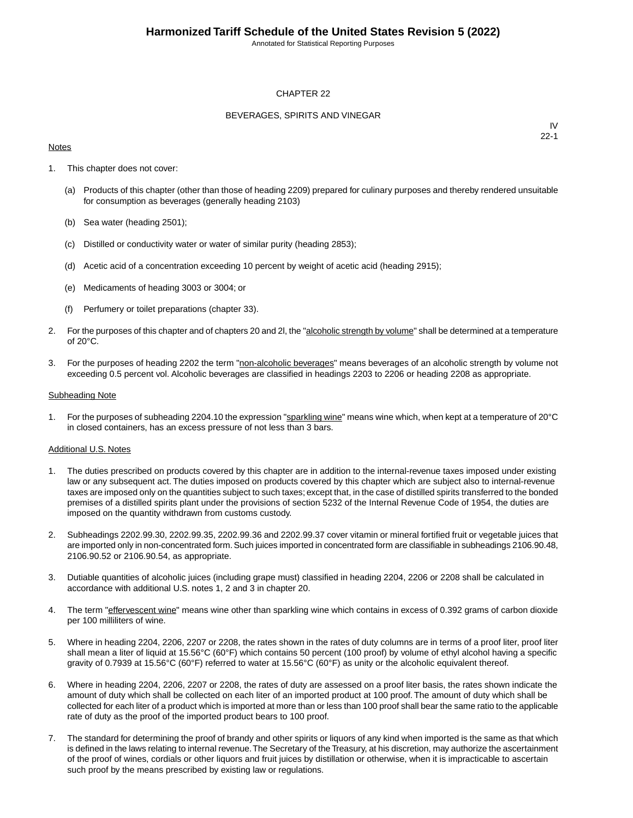Annotated for Statistical Reporting Purposes

### CHAPTER 22

### BEVERAGES, SPIRITS AND VINEGAR

### **Notes**

IV 22-1

- 1. This chapter does not cover:
	- (a) Products of this chapter (other than those of heading 2209) prepared for culinary purposes and thereby rendered unsuitable for consumption as beverages (generally heading 2103)
	- (b) Sea water (heading 2501);
	- (c) Distilled or conductivity water or water of similar purity (heading 2853);
	- (d) Acetic acid of a concentration exceeding 10 percent by weight of acetic acid (heading 2915);
	- (e) Medicaments of heading 3003 or 3004; or
	- (f) Perfumery or toilet preparations (chapter 33).
- 2. For the purposes of this chapter and of chapters 20 and 2l, the "alcoholic strength by volume" shall be determined at a temperature of 20°C.
- 3. For the purposes of heading 2202 the term "non-alcoholic beverages" means beverages of an alcoholic strength by volume not exceeding 0.5 percent vol. Alcoholic beverages are classified in headings 2203 to 2206 or heading 2208 as appropriate.

### Subheading Note

1. For the purposes of subheading 2204.10 the expression "sparkling wine" means wine which, when kept at a temperature of 20°C in closed containers, has an excess pressure of not less than 3 bars.

### Additional U.S. Notes

- 1. The duties prescribed on products covered by this chapter are in addition to the internal-revenue taxes imposed under existing law or any subsequent act. The duties imposed on products covered by this chapter which are subject also to internal-revenue taxes are imposed only on the quantities subject to such taxes; except that, in the case of distilled spirits transferred to the bonded premises of a distilled spirits plant under the provisions of section 5232 of the Internal Revenue Code of 1954, the duties are imposed on the quantity withdrawn from customs custody.
- 2. Subheadings 2202.99.30, 2202.99.35, 2202.99.36 and 2202.99.37 cover vitamin or mineral fortified fruit or vegetable juices that are imported only in non-concentrated form. Such juices imported in concentrated form are classifiable in subheadings 2106.90.48, 2106.90.52 or 2106.90.54, as appropriate.
- 3. Dutiable quantities of alcoholic juices (including grape must) classified in heading 2204, 2206 or 2208 shall be calculated in accordance with additional U.S. notes 1, 2 and 3 in chapter 20.
- 4. The term "effervescent wine" means wine other than sparkling wine which contains in excess of 0.392 grams of carbon dioxide per 100 milliliters of wine.
- 5. Where in heading 2204, 2206, 2207 or 2208, the rates shown in the rates of duty columns are in terms of a proof liter, proof liter shall mean a liter of liquid at 15.56°C (60°F) which contains 50 percent (100 proof) by volume of ethyl alcohol having a specific gravity of 0.7939 at 15.56°C (60°F) referred to water at 15.56°C (60°F) as unity or the alcoholic equivalent thereof.
- 6. Where in heading 2204, 2206, 2207 or 2208, the rates of duty are assessed on a proof liter basis, the rates shown indicate the amount of duty which shall be collected on each liter of an imported product at 100 proof. The amount of duty which shall be collected for each liter of a product which is imported at more than or less than 100 proof shall bear the same ratio to the applicable rate of duty as the proof of the imported product bears to 100 proof.
- 7. The standard for determining the proof of brandy and other spirits or liquors of any kind when imported is the same as that which is defined in the laws relating to internal revenue. The Secretary of the Treasury, at his discretion, may authorize the ascertainment of the proof of wines, cordials or other liquors and fruit juices by distillation or otherwise, when it is impracticable to ascertain such proof by the means prescribed by existing law or regulations.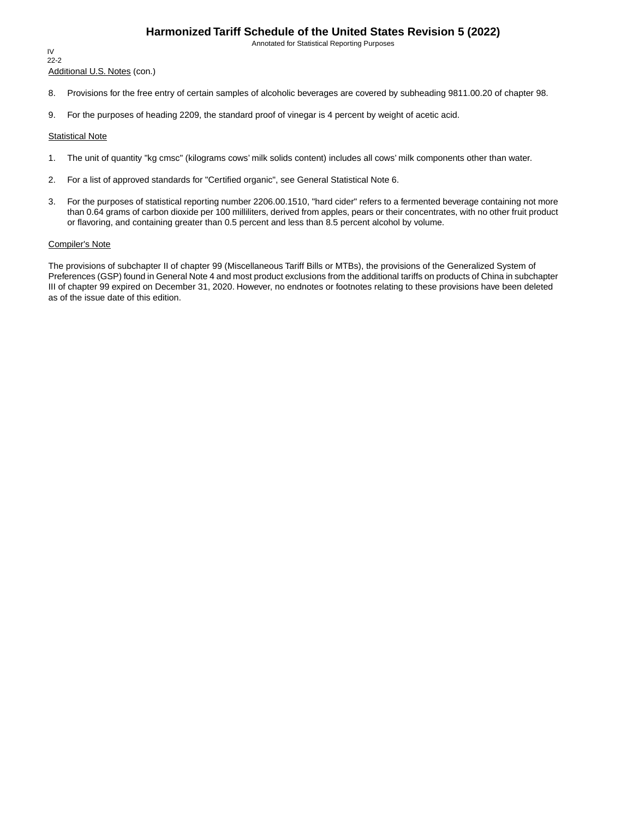Annotated for Statistical Reporting Purposes

IV 22-2

Additional U.S. Notes (con.)

- 8. Provisions for the free entry of certain samples of alcoholic beverages are covered by subheading 9811.00.20 of chapter 98.
- 9. For the purposes of heading 2209, the standard proof of vinegar is 4 percent by weight of acetic acid.

#### Statistical Note

- 1. The unit of quantity "kg cmsc" (kilograms cows' milk solids content) includes all cows' milk components other than water.
- 2. For a list of approved standards for "Certified organic", see General Statistical Note 6.
- 3. For the purposes of statistical reporting number 2206.00.1510, "hard cider" refers to a fermented beverage containing not more than 0.64 grams of carbon dioxide per 100 milliliters, derived from apples, pears or their concentrates, with no other fruit product or flavoring, and containing greater than 0.5 percent and less than 8.5 percent alcohol by volume.

#### Compiler's Note

The provisions of subchapter II of chapter 99 (Miscellaneous Tariff Bills or MTBs), the provisions of the Generalized System of Preferences (GSP) found in General Note 4 and most product exclusions from the additional tariffs on products of China in subchapter III of chapter 99 expired on December 31, 2020. However, no endnotes or footnotes relating to these provisions have been deleted as of the issue date of this edition.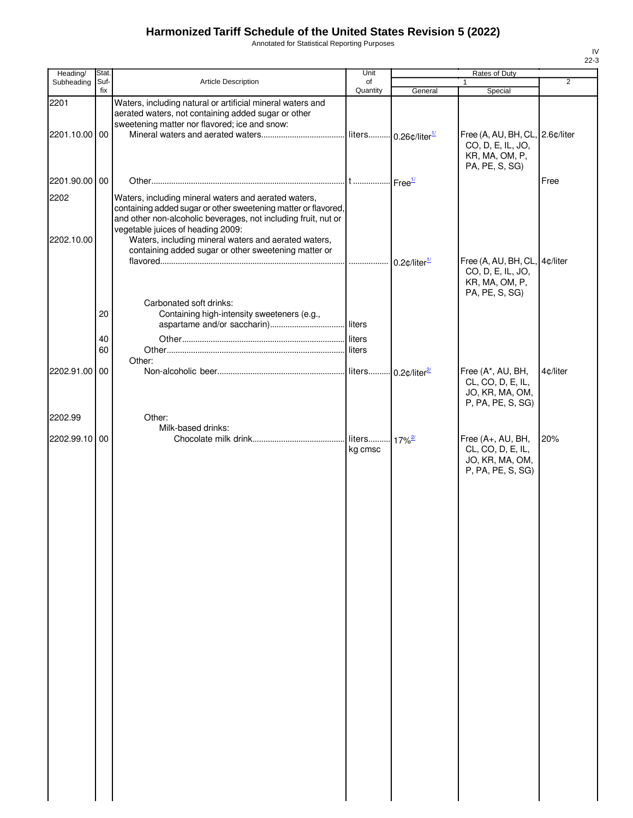Annotated for Statistical Reporting Purposes

| Heading/      | Stat.    |                                                                                                                                                                       | Unit     |                        | Rates of Duty                                                                  |                |
|---------------|----------|-----------------------------------------------------------------------------------------------------------------------------------------------------------------------|----------|------------------------|--------------------------------------------------------------------------------|----------------|
| Subheading    | Suf-     | <b>Article Description</b>                                                                                                                                            | of       |                        |                                                                                | $\overline{2}$ |
|               | fix      |                                                                                                                                                                       | Quantity | General                | Special                                                                        |                |
| 2201          |          | Waters, including natural or artificial mineral waters and<br>aerated waters, not containing added sugar or other<br>sweetening matter nor flavored; ice and snow:    |          |                        |                                                                                |                |
| 2201.10.00 00 |          |                                                                                                                                                                       |          |                        | Free (A, AU, BH, CL, 2.6¢/liter                                                |                |
|               |          |                                                                                                                                                                       |          |                        | CO, D, E, IL, JO,<br>KR, MA, OM, P,<br>PA, PE, S, SG)                          |                |
| 2201.90.00 00 |          |                                                                                                                                                                       |          |                        |                                                                                | Free           |
| 2202          |          | Waters, including mineral waters and aerated waters,                                                                                                                  |          |                        |                                                                                |                |
|               |          | containing added sugar or other sweetening matter or flavored,<br>and other non-alcoholic beverages, not including fruit, nut or<br>vegetable juices of heading 2009: |          |                        |                                                                                |                |
| 2202.10.00    |          | Waters, including mineral waters and aerated waters,<br>containing added sugar or other sweetening matter or                                                          |          |                        |                                                                                |                |
|               |          |                                                                                                                                                                       |          | $0.2$ ¢/liter $^{1/2}$ | Free (A, AU, BH, CL, 4¢/liter                                                  |                |
|               |          |                                                                                                                                                                       |          |                        | CO, D, E, IL, JO,<br>KR, MA, OM, P,<br>PA, PE, S, SG)                          |                |
|               |          | Carbonated soft drinks:                                                                                                                                               |          |                        |                                                                                |                |
|               | 20       | Containing high-intensity sweeteners (e.g.,                                                                                                                           |          |                        |                                                                                |                |
|               |          |                                                                                                                                                                       |          |                        |                                                                                |                |
|               | 40<br>60 |                                                                                                                                                                       |          |                        |                                                                                |                |
|               |          | Other:                                                                                                                                                                |          |                        |                                                                                |                |
| 2202.91.00 00 |          |                                                                                                                                                                       |          |                        | Free (A*, AU, BH,                                                              | 4¢/liter       |
|               |          |                                                                                                                                                                       |          |                        | CL, CO, D, E, IL,<br>JO, KR, MA, OM,<br>P, PA, PE, S, SG)                      |                |
| 2202.99       |          | Other:                                                                                                                                                                |          |                        |                                                                                |                |
|               |          | Milk-based drinks:                                                                                                                                                    |          |                        |                                                                                |                |
| 2202.99.10 00 |          |                                                                                                                                                                       | kg cmsc  | $17\%$ <sup>2/</sup>   | Free (A+, AU, BH,<br>CL, CO, D, E, IL,<br>JO, KR, MA, OM,<br>P, PA, PE, S, SG) | 20%            |
|               |          |                                                                                                                                                                       |          |                        |                                                                                |                |
|               |          |                                                                                                                                                                       |          |                        |                                                                                |                |
|               |          |                                                                                                                                                                       |          |                        |                                                                                |                |
|               |          |                                                                                                                                                                       |          |                        |                                                                                |                |
|               |          |                                                                                                                                                                       |          |                        |                                                                                |                |
|               |          |                                                                                                                                                                       |          |                        |                                                                                |                |
|               |          |                                                                                                                                                                       |          |                        |                                                                                |                |
|               |          |                                                                                                                                                                       |          |                        |                                                                                |                |
|               |          |                                                                                                                                                                       |          |                        |                                                                                |                |
|               |          |                                                                                                                                                                       |          |                        |                                                                                |                |
|               |          |                                                                                                                                                                       |          |                        |                                                                                |                |
|               |          |                                                                                                                                                                       |          |                        |                                                                                |                |
|               |          |                                                                                                                                                                       |          |                        |                                                                                |                |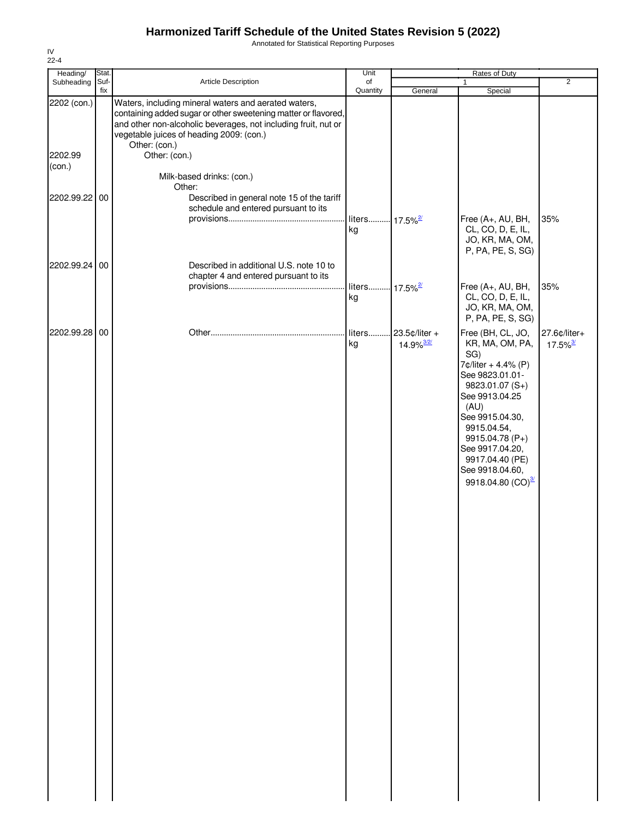Annotated for Statistical Reporting Purposes

| Heading/          | Stat.       |                                                                                                                                                                                                                                                       | Unit                             |                                           | Rates of Duty                                                                                                                                                                                                                                                               |                                        |
|-------------------|-------------|-------------------------------------------------------------------------------------------------------------------------------------------------------------------------------------------------------------------------------------------------------|----------------------------------|-------------------------------------------|-----------------------------------------------------------------------------------------------------------------------------------------------------------------------------------------------------------------------------------------------------------------------------|----------------------------------------|
| Subheading        | Suf-<br>fix | Article Description                                                                                                                                                                                                                                   | of<br>Quantity                   | General                                   | $\mathbf{1}$<br>Special                                                                                                                                                                                                                                                     | $\overline{2}$                         |
| 2202 (con.)       |             | Waters, including mineral waters and aerated waters,<br>containing added sugar or other sweetening matter or flavored,<br>and other non-alcoholic beverages, not including fruit, nut or<br>vegetable juices of heading 2009: (con.)<br>Other: (con.) |                                  |                                           |                                                                                                                                                                                                                                                                             |                                        |
| 2202.99<br>(con.) |             | Other: (con.)<br>Milk-based drinks: (con.)                                                                                                                                                                                                            |                                  |                                           |                                                                                                                                                                                                                                                                             |                                        |
| 2202.99.22 00     |             | Other:<br>Described in general note 15 of the tariff<br>schedule and entered pursuant to its                                                                                                                                                          | liters 17.5% <sup>2/</sup><br>kg |                                           | Free (A+, AU, BH,<br>CL, CO, D, E, IL,<br>JO, KR, MA, OM,                                                                                                                                                                                                                   | 35%                                    |
| 2202.99.24 00     |             | Described in additional U.S. note 10 to<br>chapter 4 and entered pursuant to its                                                                                                                                                                      |                                  |                                           | P, PA, PE, S, SG)                                                                                                                                                                                                                                                           |                                        |
|                   |             |                                                                                                                                                                                                                                                       | liters 17.5% <sup>2/</sup><br>kg |                                           | Free (A+, AU, BH,<br>CL, CO, D, E, IL,<br>JO, KR, MA, OM,<br>P, PA, PE, S, SG)                                                                                                                                                                                              | 35%                                    |
| 2202.99.28 00     |             |                                                                                                                                                                                                                                                       | liters<br>kg                     | 23.5¢/liter +<br>$14.9\%$ <sup>3/2/</sup> | Free (BH, CL, JO,<br>KR, MA, OM, PA,<br>SG)<br>7¢/liter + 4.4% (P)<br>See 9823.01.01-<br>9823.01.07 (S+)<br>See 9913.04.25<br>(AU)<br>See 9915.04.30,<br>9915.04.54,<br>9915.04.78 (P+)<br>See 9917.04.20,<br>9917.04.40 (PE)<br>See 9918.04.60,<br>9918.04.80 $(CO)^{3/2}$ | 27.6¢/liter+<br>$17.5\%$ <sup>3/</sup> |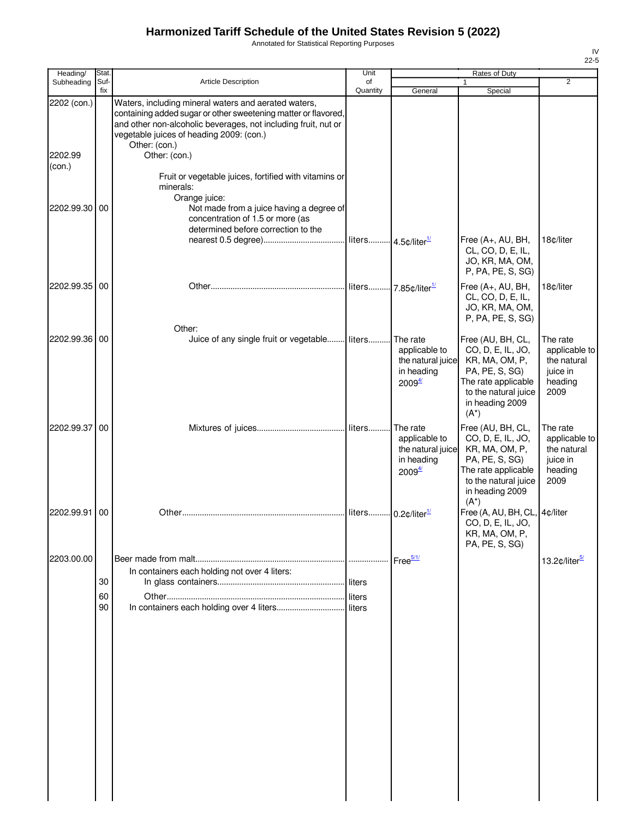Annotated for Statistical Reporting Purposes

| Heading/                         | Stat.       |                                                                                                                                                                                                                                                                        | Unit                            |                                                                                    | Rates of Duty                                                                                                                                           |                                                                         |
|----------------------------------|-------------|------------------------------------------------------------------------------------------------------------------------------------------------------------------------------------------------------------------------------------------------------------------------|---------------------------------|------------------------------------------------------------------------------------|---------------------------------------------------------------------------------------------------------------------------------------------------------|-------------------------------------------------------------------------|
| Subheading                       | Suf-<br>fix | Article Description                                                                                                                                                                                                                                                    | of<br>Quantity                  | General                                                                            | Special                                                                                                                                                 | $\overline{2}$                                                          |
| 2202 (con.)<br>2202.99<br>(con.) |             | Waters, including mineral waters and aerated waters,<br>containing added sugar or other sweetening matter or flavored,<br>and other non-alcoholic beverages, not including fruit, nut or<br>vegetable juices of heading 2009: (con.)<br>Other: (con.)<br>Other: (con.) |                                 |                                                                                    |                                                                                                                                                         |                                                                         |
|                                  |             | Fruit or vegetable juices, fortified with vitamins or<br>minerals:<br>Orange juice:                                                                                                                                                                                    |                                 |                                                                                    |                                                                                                                                                         |                                                                         |
| 2202.99.30                       | 00          | Not made from a juice having a degree of<br>concentration of 1.5 or more (as<br>determined before correction to the                                                                                                                                                    |                                 |                                                                                    | Free (A+, AU, BH,<br>CL, CO, D, E, IL,<br>JO, KR, MA, OM,                                                                                               | 18¢/liter                                                               |
| 2202.99.35                       | 00          |                                                                                                                                                                                                                                                                        |                                 | liters 7.85¢/liter <sup>1/</sup>                                                   | P, PA, PE, S, SG)<br>Free (A+, AU, BH,<br>CL, CO, D, E, IL,<br>JO, KR, MA, OM,<br>P, PA, PE, S, SG)                                                     | 18¢/liter                                                               |
| 2202.99.36                       | 00          | Other:<br>Juice of any single fruit or vegetable                                                                                                                                                                                                                       | liters                          | The rate<br>applicable to<br>the natural juice<br>in heading<br>2009 <sup>4/</sup> | Free (AU, BH, CL,<br>CO, D, E, IL, JO,<br>KR, MA, OM, P,<br>PA, PE, S, SG)<br>The rate applicable<br>to the natural juice<br>in heading 2009<br>$(A^*)$ | The rate<br>applicable to<br>the natural<br>juice in<br>heading<br>2009 |
| 2202.99.37                       | 00          |                                                                                                                                                                                                                                                                        | liters                          | The rate<br>applicable to<br>the natural juice<br>in heading<br>2009 <sup>4/</sup> | Free (AU, BH, CL,<br>CO, D, E, IL, JO,<br>KR, MA, OM, P,<br>PA, PE, S, SG)<br>The rate applicable<br>to the natural juice<br>in heading 2009<br>$(A^*)$ | The rate<br>applicable to<br>the natural<br>juice in<br>heading<br>2009 |
| 2202.99.91                       | 00          |                                                                                                                                                                                                                                                                        | liters 0.2¢/liter <sup>1/</sup> |                                                                                    | Free (A, AU, BH, CL, 4¢/liter<br>CO, D, E, IL, JO,<br>KR, MA, OM, P,<br>PA, PE, S, SG)                                                                  |                                                                         |
| 2203.00.00                       | 30<br>60    | In containers each holding not over 4 liters:                                                                                                                                                                                                                          | liters<br>liters                |                                                                                    |                                                                                                                                                         | 13.2¢/liter <sup>5/</sup>                                               |
|                                  | 90          |                                                                                                                                                                                                                                                                        |                                 |                                                                                    |                                                                                                                                                         |                                                                         |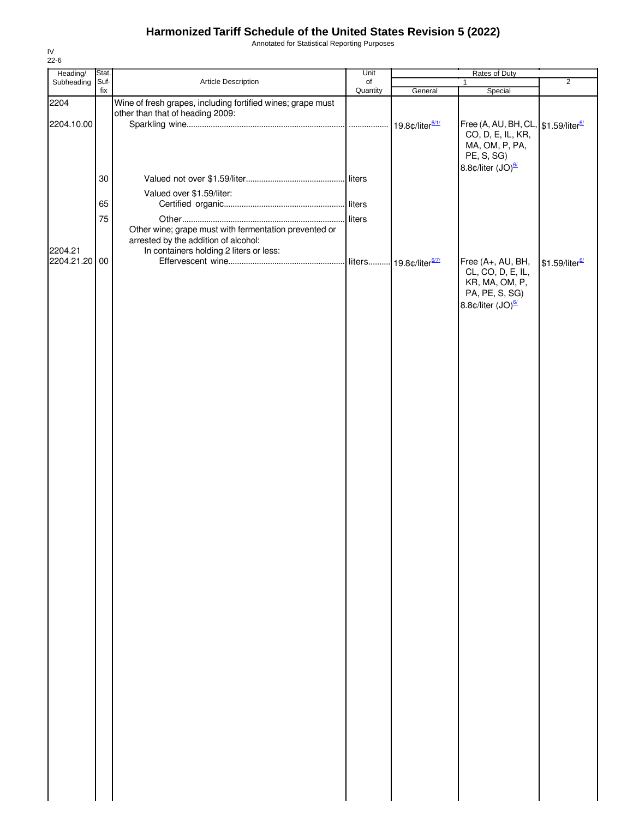Annotated for Statistical Reporting Purposes

| Heading/      | Stat. |                                                             | Unit     |                                    | Rates of Duty                                   |                            |
|---------------|-------|-------------------------------------------------------------|----------|------------------------------------|-------------------------------------------------|----------------------------|
| Subheading    | Suf-  | Article Description                                         | of       |                                    | $\mathbf{1}$                                    | $\overline{2}$             |
|               | fix   |                                                             | Quantity | General                            | Special                                         |                            |
| 2204          |       | Wine of fresh grapes, including fortified wines; grape must |          |                                    |                                                 |                            |
|               |       | other than that of heading 2009:                            |          |                                    |                                                 |                            |
| 2204.10.00    |       |                                                             |          | 19.8¢/liter <sup>6/1/</sup>        | Free (A, AU, BH, CL, \$1.59/liter <sup>6/</sup> |                            |
|               |       |                                                             |          |                                    | CO, D, E, IL, KR,                               |                            |
|               |       |                                                             |          |                                    | MA, OM, P, PA,                                  |                            |
|               |       |                                                             |          |                                    | PE, S, SG)                                      |                            |
|               |       |                                                             |          |                                    |                                                 |                            |
|               |       |                                                             |          |                                    | 8.8¢/liter (JO) <sup>6/</sup>                   |                            |
|               | 30    |                                                             |          |                                    |                                                 |                            |
|               |       | Valued over \$1.59/liter:                                   |          |                                    |                                                 |                            |
|               |       |                                                             |          |                                    |                                                 |                            |
|               | 65    |                                                             |          |                                    |                                                 |                            |
|               | 75    |                                                             | liters   |                                    |                                                 |                            |
|               |       | Other wine; grape must with fermentation prevented or       |          |                                    |                                                 |                            |
|               |       | arrested by the addition of alcohol:                        |          |                                    |                                                 |                            |
| 2204.21       |       | In containers holding 2 liters or less:                     |          |                                    |                                                 |                            |
|               |       |                                                             |          |                                    |                                                 |                            |
| 2204.21.20 00 |       |                                                             |          | liters 19.8¢/liter <sup>6/7/</sup> | Free (A+, AU, BH,                               | \$1.59/liter <sup>6/</sup> |
|               |       |                                                             |          |                                    | CL, CO, D, E, IL,                               |                            |
|               |       |                                                             |          |                                    | KR, MA, OM, P,                                  |                            |
|               |       |                                                             |          |                                    | PA, PE, S, SG)                                  |                            |
|               |       |                                                             |          |                                    | 8.8¢/liter (JO) <sup>6/</sup>                   |                            |
|               |       |                                                             |          |                                    |                                                 |                            |
|               |       |                                                             |          |                                    |                                                 |                            |
|               |       |                                                             |          |                                    |                                                 |                            |
|               |       |                                                             |          |                                    |                                                 |                            |
|               |       |                                                             |          |                                    |                                                 |                            |
|               |       |                                                             |          |                                    |                                                 |                            |
|               |       |                                                             |          |                                    |                                                 |                            |
|               |       |                                                             |          |                                    |                                                 |                            |
|               |       |                                                             |          |                                    |                                                 |                            |
|               |       |                                                             |          |                                    |                                                 |                            |
|               |       |                                                             |          |                                    |                                                 |                            |
|               |       |                                                             |          |                                    |                                                 |                            |
|               |       |                                                             |          |                                    |                                                 |                            |
|               |       |                                                             |          |                                    |                                                 |                            |
|               |       |                                                             |          |                                    |                                                 |                            |
|               |       |                                                             |          |                                    |                                                 |                            |
|               |       |                                                             |          |                                    |                                                 |                            |
|               |       |                                                             |          |                                    |                                                 |                            |
|               |       |                                                             |          |                                    |                                                 |                            |
|               |       |                                                             |          |                                    |                                                 |                            |
|               |       |                                                             |          |                                    |                                                 |                            |
|               |       |                                                             |          |                                    |                                                 |                            |
|               |       |                                                             |          |                                    |                                                 |                            |
|               |       |                                                             |          |                                    |                                                 |                            |
|               |       |                                                             |          |                                    |                                                 |                            |
|               |       |                                                             |          |                                    |                                                 |                            |
|               |       |                                                             |          |                                    |                                                 |                            |
|               |       |                                                             |          |                                    |                                                 |                            |
|               |       |                                                             |          |                                    |                                                 |                            |
|               |       |                                                             |          |                                    |                                                 |                            |
|               |       |                                                             |          |                                    |                                                 |                            |
|               |       |                                                             |          |                                    |                                                 |                            |
|               |       |                                                             |          |                                    |                                                 |                            |
|               |       |                                                             |          |                                    |                                                 |                            |
|               |       |                                                             |          |                                    |                                                 |                            |
|               |       |                                                             |          |                                    |                                                 |                            |
|               |       |                                                             |          |                                    |                                                 |                            |
|               |       |                                                             |          |                                    |                                                 |                            |
|               |       |                                                             |          |                                    |                                                 |                            |
|               |       |                                                             |          |                                    |                                                 |                            |
|               |       |                                                             |          |                                    |                                                 |                            |
|               |       |                                                             |          |                                    |                                                 |                            |
|               |       |                                                             |          |                                    |                                                 |                            |
|               |       |                                                             |          |                                    |                                                 |                            |
|               |       |                                                             |          |                                    |                                                 |                            |
|               |       |                                                             |          |                                    |                                                 |                            |
|               |       |                                                             |          |                                    |                                                 |                            |
|               |       |                                                             |          |                                    |                                                 |                            |
|               |       |                                                             |          |                                    |                                                 |                            |
|               |       |                                                             |          |                                    |                                                 |                            |
|               |       |                                                             |          |                                    |                                                 |                            |
|               |       |                                                             |          |                                    |                                                 |                            |
|               |       |                                                             |          |                                    |                                                 |                            |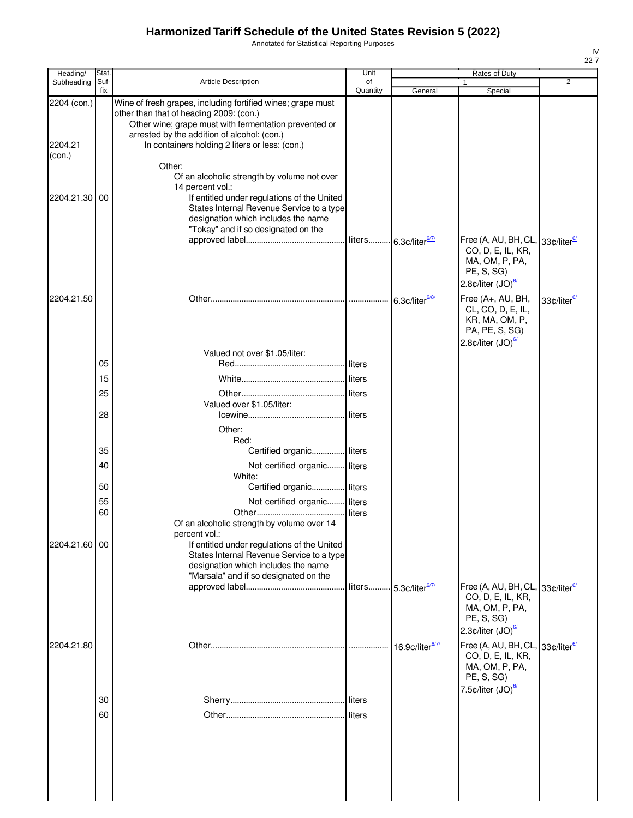Annotated for Statistical Reporting Purposes

| Heading/               | Stat.       |                                                                                                                                                                                                                                                                  | Unit            |                                   | Rates of Duty                                                                                                                                                            |                         |
|------------------------|-------------|------------------------------------------------------------------------------------------------------------------------------------------------------------------------------------------------------------------------------------------------------------------|-----------------|-----------------------------------|--------------------------------------------------------------------------------------------------------------------------------------------------------------------------|-------------------------|
| Subheading             | Suf-<br>fix | <b>Article Description</b>                                                                                                                                                                                                                                       | of<br>Quantity  | General                           | Special                                                                                                                                                                  | 2                       |
| 2204 (con.)<br>2204.21 |             | Wine of fresh grapes, including fortified wines; grape must<br>other than that of heading 2009: (con.)<br>Other wine; grape must with fermentation prevented or<br>arrested by the addition of alcohol: (con.)<br>In containers holding 2 liters or less: (con.) |                 |                                   |                                                                                                                                                                          |                         |
| (con.)                 |             | Other:<br>Of an alcoholic strength by volume not over                                                                                                                                                                                                            |                 |                                   |                                                                                                                                                                          |                         |
| 2204.21.30             | 00          | 14 percent vol.:<br>If entitled under regulations of the United<br>States Internal Revenue Service to a type<br>designation which includes the name<br>"Tokay" and if so designated on the                                                                       |                 |                                   |                                                                                                                                                                          |                         |
|                        |             |                                                                                                                                                                                                                                                                  |                 | liters 6.3¢/liter <sup>6/7/</sup> | Free (A, AU, BH, CL, 33¢/liter <sup>6/</sup><br>CO, D, E, IL, KR,<br>MA, OM, P, PA,<br>PE, S, SG)<br>2.8 $\phi$ /liter (JO) $\frac{67}{2}$                               |                         |
| 2204.21.50             |             |                                                                                                                                                                                                                                                                  |                 | $6.3$ ¢/liter $\frac{6/8}{2}$     | Free (A+, AU, BH,<br>CL, CO, D, E, IL,<br>KR, MA, OM, P,<br>PA, PE, S, SG)<br>2.8 $\text{\textdegree}$ /liter (JO) $\frac{\text{\textdegree}}{2}$                        | 33¢/liter <sup>6/</sup> |
|                        |             | Valued not over \$1.05/liter:                                                                                                                                                                                                                                    |                 |                                   |                                                                                                                                                                          |                         |
|                        | 05          |                                                                                                                                                                                                                                                                  | liters          |                                   |                                                                                                                                                                          |                         |
|                        | 15          |                                                                                                                                                                                                                                                                  | liters          |                                   |                                                                                                                                                                          |                         |
|                        | 25          | Valued over \$1.05/liter:                                                                                                                                                                                                                                        | liters          |                                   |                                                                                                                                                                          |                         |
|                        | 28          | Other:                                                                                                                                                                                                                                                           |                 |                                   |                                                                                                                                                                          |                         |
|                        | 35          | Red:<br>Certified organic liters                                                                                                                                                                                                                                 |                 |                                   |                                                                                                                                                                          |                         |
|                        | 40          | Not certified organic liters                                                                                                                                                                                                                                     |                 |                                   |                                                                                                                                                                          |                         |
|                        |             | White:                                                                                                                                                                                                                                                           |                 |                                   |                                                                                                                                                                          |                         |
|                        | 50          | Certified organic                                                                                                                                                                                                                                                | <b>I</b> liters |                                   |                                                                                                                                                                          |                         |
|                        | 55          | Not certified organic                                                                                                                                                                                                                                            | liters          |                                   |                                                                                                                                                                          |                         |
|                        | 60          | Of an alcoholic strength by volume over 14<br>percent vol.:                                                                                                                                                                                                      | liters          |                                   |                                                                                                                                                                          |                         |
| 2204.21.60 00          |             | If entitled under regulations of the United<br>States Internal Revenue Service to a type<br>designation which includes the name<br>"Marsala" and if so designated on the                                                                                         |                 |                                   |                                                                                                                                                                          |                         |
|                        |             |                                                                                                                                                                                                                                                                  |                 | liters 5.3¢/liter <sup>6/7/</sup> | Free (A, AU, BH, CL, 33¢/liter <sup>6/</sup><br>CO, D, E, IL, KR,<br>MA, OM, P, PA,<br>PE, S, SG)<br>2.3 $\text{\textdegree}$ /liter (JO) $\frac{67}{2}$                 |                         |
| 2204.21.80             |             |                                                                                                                                                                                                                                                                  |                 | 16.9¢/liter <sup>6/7/</sup>       | Free (A, AU, BH, CL, 33¢/liter <sup>6/</sup><br>CO, D, E, IL, KR,<br>MA, OM, P, PA,<br>PE, S, SG)<br>7.5 $\text{\textdegree}$ /liter (JO) $\frac{\text{\textdegree}}{2}$ |                         |
|                        | 30          |                                                                                                                                                                                                                                                                  | liters          |                                   |                                                                                                                                                                          |                         |
|                        | 60          |                                                                                                                                                                                                                                                                  | liters          |                                   |                                                                                                                                                                          |                         |
|                        |             |                                                                                                                                                                                                                                                                  |                 |                                   |                                                                                                                                                                          |                         |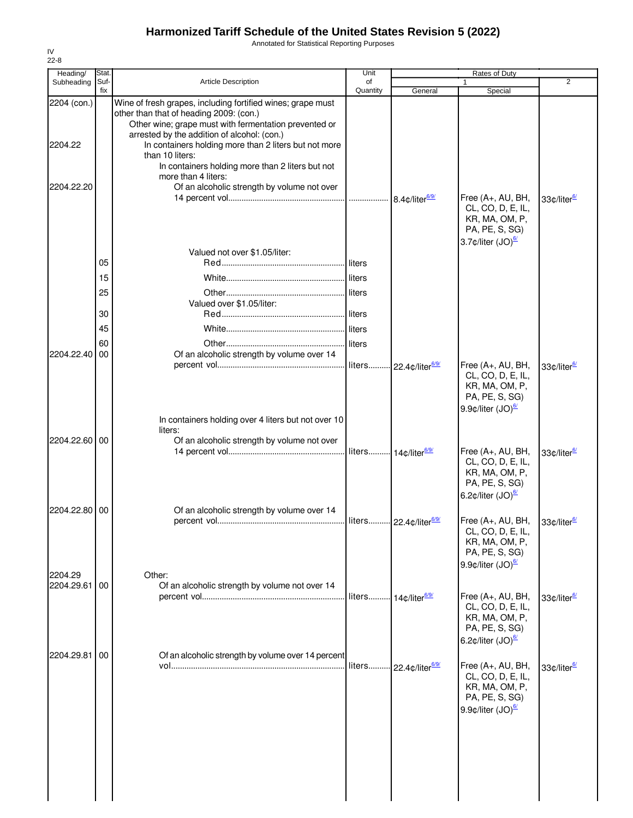Annotated for Statistical Reporting Purposes

| Heading/      | Stat.       |                                                                                                                                                                                                                | Unit                             |                              | Rates of Duty                                                                                                                                     |                         |
|---------------|-------------|----------------------------------------------------------------------------------------------------------------------------------------------------------------------------------------------------------------|----------------------------------|------------------------------|---------------------------------------------------------------------------------------------------------------------------------------------------|-------------------------|
| Subheading    | Suf-<br>fix | Article Description                                                                                                                                                                                            | of<br>Quantity                   | General                      | 1<br>Special                                                                                                                                      | $\overline{2}$          |
| 2204 (con.)   |             | Wine of fresh grapes, including fortified wines; grape must<br>other than that of heading 2009: (con.)<br>Other wine; grape must with fermentation prevented or<br>arrested by the addition of alcohol: (con.) |                                  |                              |                                                                                                                                                   |                         |
| 2204.22       |             | In containers holding more than 2 liters but not more<br>than 10 liters:<br>In containers holding more than 2 liters but not                                                                                   |                                  |                              |                                                                                                                                                   |                         |
| 2204.22.20    |             | more than 4 liters:<br>Of an alcoholic strength by volume not over                                                                                                                                             |                                  | 8.4¢/liter <sup>6/9/</sup>   | Free $(A+, AU, BH,$<br>CL, CO, D, E, IL,                                                                                                          | 33¢/liter <sup>6/</sup> |
|               |             | Valued not over \$1.05/liter:                                                                                                                                                                                  |                                  |                              | KR, MA, OM, P,<br>PA, PE, S, SG)<br>3.7¢/liter (JO) <sup>6/</sup>                                                                                 |                         |
|               | 05          |                                                                                                                                                                                                                | liters                           |                              |                                                                                                                                                   |                         |
|               | 15          |                                                                                                                                                                                                                | liters                           |                              |                                                                                                                                                   |                         |
|               | 25          | Valued over \$1.05/liter:                                                                                                                                                                                      |                                  |                              |                                                                                                                                                   |                         |
|               | 30          |                                                                                                                                                                                                                |                                  |                              |                                                                                                                                                   |                         |
|               | 45          |                                                                                                                                                                                                                |                                  |                              |                                                                                                                                                   |                         |
|               | 60          |                                                                                                                                                                                                                | liters                           |                              |                                                                                                                                                   |                         |
| 2204.22.40    | 00          | Of an alcoholic strength by volume over 14                                                                                                                                                                     | liters                           | -22.4¢/liter <sup>6/9/</sup> | Free (A+, AU, BH,                                                                                                                                 | 33¢/liter <sup>6/</sup> |
|               |             |                                                                                                                                                                                                                |                                  |                              | CL, CO, D, E, IL,<br>KR, MA, OM, P,<br>PA, PE, S, SG)<br>9.9 $\phi$ /liter (JO) $\frac{67}{2}$                                                    |                         |
|               |             | In containers holding over 4 liters but not over 10<br>liters:                                                                                                                                                 |                                  |                              |                                                                                                                                                   |                         |
| 2204.22.60    | 00          | Of an alcoholic strength by volume not over                                                                                                                                                                    | liters 14¢/liter <sup>6/9/</sup> |                              | Free (A+, AU, BH,<br>CL, CO, D, E, IL,<br>KR, MA, OM, P,<br>PA, PE, S, SG)<br>6.2 $\text{\textdegree}$ /liter (JO) $\frac{\text{\textdegree}}{2}$ | 33¢/liter <sup>6/</sup> |
| 2204.22.80 00 |             | Of an alcoholic strength by volume over 14                                                                                                                                                                     |                                  |                              |                                                                                                                                                   |                         |
| 2204.29       |             | Other:                                                                                                                                                                                                         |                                  |                              | Free (A+, AU, BH,<br>CL, CO, D, E, IL,<br>KR, MA, OM, P,<br>PA, PE, S, SG)<br>9.9 $\phi$ /liter (JO) $\frac{67}{2}$                               | 33¢/liter <sup>6/</sup> |
| 2204.29.61    | 00          | Of an alcoholic strength by volume not over 14                                                                                                                                                                 |                                  |                              |                                                                                                                                                   |                         |
|               |             |                                                                                                                                                                                                                | liters 14¢/liter <sup>6/9/</sup> |                              | Free (A+, AU, BH,<br>CL, CO, D, E, IL,<br>KR, MA, OM, P,<br>PA, PE, S, SG)<br>6.2 $\text{\textdegree}$ /liter (JO) $\frac{\text{\textdegree}}{2}$ | 33¢/liter <sup>6/</sup> |
| 2204.29.81    | 00          | Of an alcoholic strength by volume over 14 percent<br><u>vol…………………………………………………………………</u>                                                                                                                      | liters                           | 22.4¢/liter <sup>6/9/</sup>  | Free (A+, AU, BH,<br>CL, CO, D, E, IL,<br>KR, MA, OM, P,<br>PA, PE, S, SG)<br>9.9 $\phi$ /liter (JO) $\frac{67}{2}$                               | 33¢/liter <sup>6/</sup> |
|               |             |                                                                                                                                                                                                                |                                  |                              |                                                                                                                                                   |                         |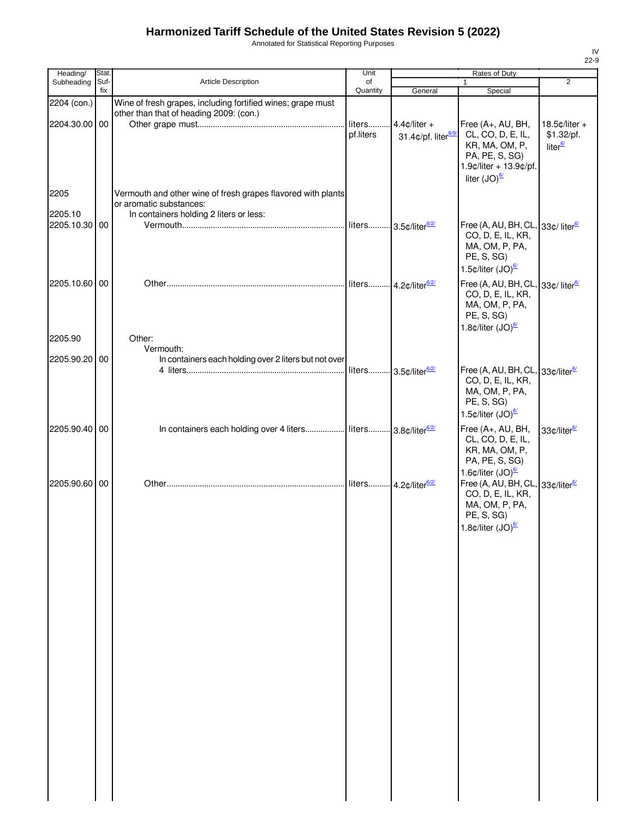Annotated for Statistical Reporting Purposes

| Heading/                 | Stat.       |                                                                                                        | Unit                |                                                    | Rates of Duty                                                                                                                                                                                                     |                                                       |
|--------------------------|-------------|--------------------------------------------------------------------------------------------------------|---------------------|----------------------------------------------------|-------------------------------------------------------------------------------------------------------------------------------------------------------------------------------------------------------------------|-------------------------------------------------------|
| Subheading               | Suf-<br>fix | Article Description                                                                                    | of<br>Quantity      | General                                            | 1<br>Special                                                                                                                                                                                                      | $\overline{2}$                                        |
| 2204 (con.)              |             | Wine of fresh grapes, including fortified wines; grape must<br>other than that of heading 2009: (con.) |                     |                                                    |                                                                                                                                                                                                                   |                                                       |
| 2204.30.00 00            |             |                                                                                                        | liters<br>pf.liters | $4.4$ c/liter +<br>31.4¢/pf. liter <sup>6/9/</sup> | Free (A+, AU, BH,<br>CL, CO, D, E, IL,<br>KR, MA, OM, P,<br>PA, PE, S, SG)<br>1.9¢/liter + 13.9¢/pf.<br>liter $(JO)^{6/2}$                                                                                        | $18.5$ ¢/liter +<br>\$1.32/pf.<br>liter <sup>6/</sup> |
| 2205                     |             | Vermouth and other wine of fresh grapes flavored with plants<br>or aromatic substances:                |                     |                                                    |                                                                                                                                                                                                                   |                                                       |
| 2205.10<br>2205.10.30 00 |             | In containers holding 2 liters or less:                                                                | liters              | -3.5¢/liter <sup>6/2/</sup>                        | Free (A, AU, BH, CL, 33¢/ liter <sup>6/</sup><br>CO, D, E, IL, KR,<br>MA, OM, P, PA,<br>PE, S, SG)<br>1.5 $\phi$ /liter (JO) $\frac{67}{2}$                                                                       |                                                       |
| 2205.10.60 00            |             |                                                                                                        | liters              | $-4.2$ ¢/liter $6/2/$                              | Free (A, AU, BH, CL, 33¢/ liter <sup>6/</sup><br>CO, D, E, IL, KR,<br>MA, OM, P, PA,<br>PE, S, SG)<br>1.8 $\text{\textdegree}$ /liter (JO) $\frac{\text{\textdegree}}{2}$                                         |                                                       |
| 2205.90                  |             | Other:<br>Vermouth:                                                                                    |                     |                                                    |                                                                                                                                                                                                                   |                                                       |
| 2205.90.20 00            |             | In containers each holding over 2 liters but not over                                                  |                     |                                                    |                                                                                                                                                                                                                   |                                                       |
|                          |             |                                                                                                        |                     | liters 3.5¢/liter <sup>6/2/</sup>                  | Free (A, AU, BH, CL, 33¢/liter <sup>6/</sup><br>CO, D, E, IL, KR,<br>MA, OM, P, PA,<br>PE, S, SG)<br>1.5 $\text{\textdegree}$ /liter (JO) $\frac{\text{\textdegree}}{2}$                                          |                                                       |
| 2205.90.40 00            |             | In containers each holding over 4 liters  liters 3.8¢/liter <sup>6/2/</sup>                            |                     |                                                    | Free (A+, AU, BH,<br>CL, CO, D, E, IL,<br>KR, MA, OM, P,<br>PA, PE, S, SG)                                                                                                                                        | 33¢/liter <sup>6/</sup>                               |
| 2205.90.60 00            |             |                                                                                                        |                     |                                                    | 1.6 $\phi$ /liter (JO) $\frac{67}{2}$<br>Free (A, AU, BH, CL, 33¢/liter <sup>6/</sup><br>CO, D, E, IL, KR,<br>MA, OM, P, PA,<br>PE, S, SG)<br>1.8 $\text{\textdegree}$ /liter (JO) $\frac{\text{\textdegree}}{2}$ |                                                       |
|                          |             |                                                                                                        |                     |                                                    |                                                                                                                                                                                                                   |                                                       |
|                          |             |                                                                                                        |                     |                                                    |                                                                                                                                                                                                                   |                                                       |
|                          |             |                                                                                                        |                     |                                                    |                                                                                                                                                                                                                   |                                                       |
|                          |             |                                                                                                        |                     |                                                    |                                                                                                                                                                                                                   |                                                       |
|                          |             |                                                                                                        |                     |                                                    |                                                                                                                                                                                                                   |                                                       |
|                          |             |                                                                                                        |                     |                                                    |                                                                                                                                                                                                                   |                                                       |
|                          |             |                                                                                                        |                     |                                                    |                                                                                                                                                                                                                   |                                                       |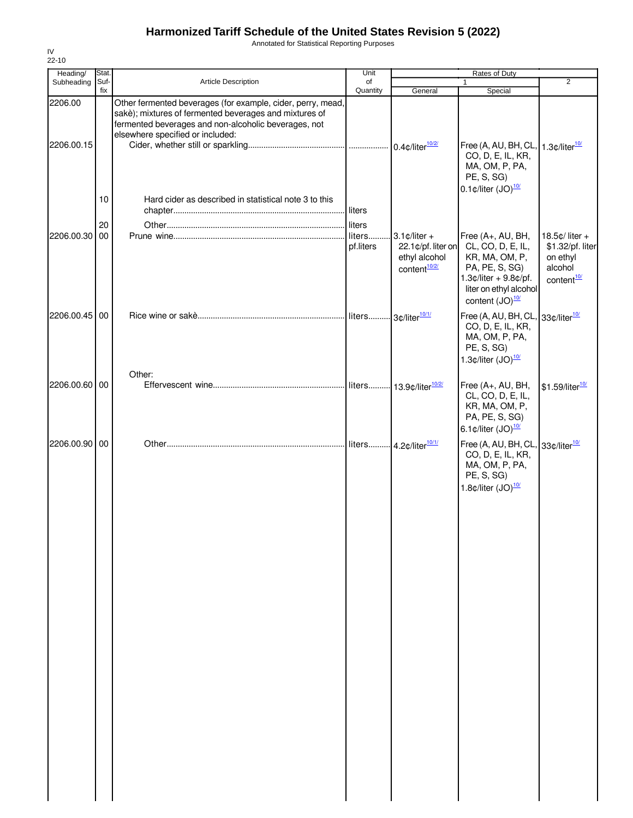Annotated for Statistical Reporting Purposes

| Heading/      | Stat. |                                                                                                                                                                               | Unit                |                                                                                                 | Rates of Duty                                                                                                                                             |                                                                                            |
|---------------|-------|-------------------------------------------------------------------------------------------------------------------------------------------------------------------------------|---------------------|-------------------------------------------------------------------------------------------------|-----------------------------------------------------------------------------------------------------------------------------------------------------------|--------------------------------------------------------------------------------------------|
| Subheading    | Suf-  | <b>Article Description</b>                                                                                                                                                    | of                  |                                                                                                 | $\mathbf{1}$                                                                                                                                              | $\overline{2}$                                                                             |
| 2206.00       | fix   | Other fermented beverages (for example, cider, perry, mead,<br>sakè); mixtures of fermented beverages and mixtures of<br>fermented beverages and non-alcoholic beverages, not | Quantity            | General                                                                                         | Special                                                                                                                                                   |                                                                                            |
| 2206.00.15    |       | elsewhere specified or included:                                                                                                                                              |                     |                                                                                                 | Free (A, AU, BH, CL, 1.3¢/liter <sup>10/</sup><br>CO, D, E, IL, KR,<br>MA, OM, P, PA,<br>PE, S, SG)                                                       |                                                                                            |
|               | 10    | Hard cider as described in statistical note 3 to this                                                                                                                         | liters              |                                                                                                 | $0.1$ ¢/liter (JO) $\frac{10}{2}$                                                                                                                         |                                                                                            |
|               | 20    |                                                                                                                                                                               | liters              |                                                                                                 |                                                                                                                                                           |                                                                                            |
| 2206.00.30    | 00    |                                                                                                                                                                               | liters<br>pf.liters | $3.1 \text{ } \phi$ /liter +<br>22.1¢/pf. liter on<br>ethyl alcohol<br>content <sup>10/2/</sup> | Free (A+, AU, BH,<br>CL, CO, D, E, IL,<br>KR, MA, OM, P,<br>PA, PE, S, SG)<br>$1.3$ ¢/liter + 9.8¢/pf.<br>liter on ethyl alcohol<br>content $(JO)^{10/2}$ | 18.5 $\phi$ / liter +<br>\$1.32/pf. liter<br>on ethyl<br>alcohol<br>content <sup>10/</sup> |
| 2206.00.45 00 |       |                                                                                                                                                                               |                     |                                                                                                 | Free (A, AU, BH, CL<br>CO, D, E, IL, KR,<br>MA, OM, P, PA,<br>PE, S, SG)<br>1.3 $\text{\textdegree}$ /liter (JO) $\frac{10}{10}$                          | 33¢/liter <sup>10/</sup>                                                                   |
|               |       | Other:                                                                                                                                                                        |                     |                                                                                                 |                                                                                                                                                           |                                                                                            |
| 2206.00.60 00 |       |                                                                                                                                                                               |                     | liters 13.9¢/liter <sup>10/2/</sup>                                                             | Free (A+, AU, BH,<br>CL, CO, D, E, IL,<br>KR, MA, OM, P,<br>PA, PE, S, SG)<br>6.1 $\text{\textdegree}$ /liter (JO) $\frac{10}{10}$                        | \$1.59/liter <sup>10/</sup>                                                                |
| 2206.00.90    | 00    |                                                                                                                                                                               |                     | liters 4.2¢/liter <sup>10/1/</sup>                                                              | Free (A, AU, BH, CL<br>CO, D, E, IL, KR,<br>MA, OM, P, PA,<br>PE, S, SG)<br>1.8 $\text{\textdegree}$ /liter (JO) $\frac{10}{10}$                          | 33¢/liter <sup>10/</sup>                                                                   |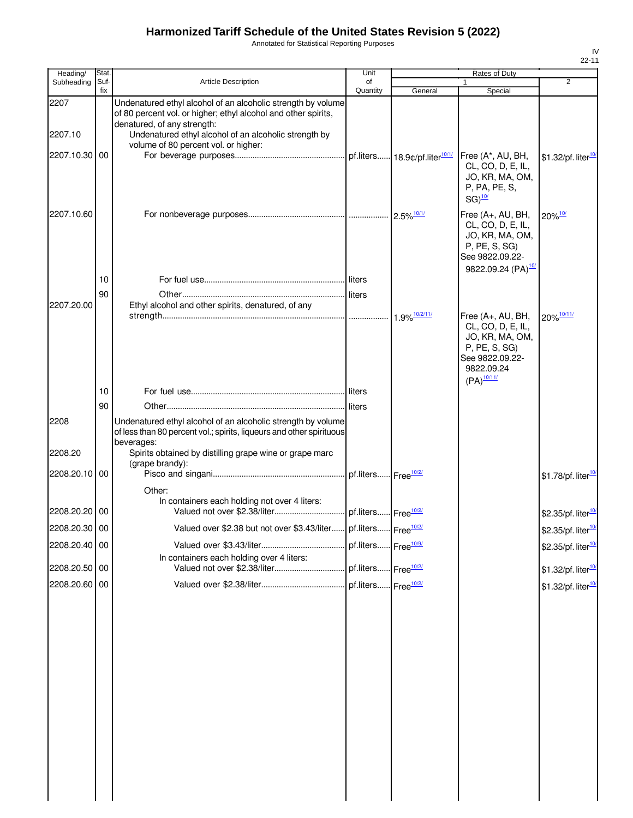Annotated for Statistical Reporting Purposes

| Heading/        | Stat.       |                                                                                                                                                                                                               | Unit                            |         | <b>Rates of Duty</b>                                                                                                                   |                                                                  |
|-----------------|-------------|---------------------------------------------------------------------------------------------------------------------------------------------------------------------------------------------------------------|---------------------------------|---------|----------------------------------------------------------------------------------------------------------------------------------------|------------------------------------------------------------------|
| Subheading      | Suf-<br>fix | Article Description                                                                                                                                                                                           | of<br>Quantity                  | General | $\mathbf{1}$<br>Special                                                                                                                | $\overline{2}$                                                   |
| 2207            |             | Undenatured ethyl alcohol of an alcoholic strength by volume<br>of 80 percent vol. or higher; ethyl alcohol and other spirits,                                                                                |                                 |         |                                                                                                                                        |                                                                  |
| 2207.10         |             | denatured, of any strength:<br>Undenatured ethyl alcohol of an alcoholic strength by<br>volume of 80 percent vol. or higher:                                                                                  |                                 |         |                                                                                                                                        |                                                                  |
| 2207.10.30 00   |             |                                                                                                                                                                                                               |                                 |         | Free (A*, AU, BH,<br>CL, CO, D, E, IL,<br>JO, KR, MA, OM,<br>P, PA, PE, S,<br>$SG)$ <sup>10/</sup>                                     | \$1.32/pf. liter <sup>10</sup>                                   |
| 2207.10.60      |             |                                                                                                                                                                                                               |                                 |         | Free (A+, AU, BH,<br>CL, CO, D, E, IL,<br>JO, KR, MA, OM,<br>P, PE, S, SG)<br>See 9822.09.22-<br>9822.09.24 (PA) <sup>10/</sup>        | $20\%$ <sup>10/</sup>                                            |
|                 | 10          |                                                                                                                                                                                                               |                                 |         |                                                                                                                                        |                                                                  |
|                 | 90          |                                                                                                                                                                                                               |                                 |         |                                                                                                                                        |                                                                  |
| 2207.20.00      |             | Ethyl alcohol and other spirits, denatured, of any                                                                                                                                                            |                                 |         | Free (A+, AU, BH,<br>CL, CO, D, E, IL,<br>JO, KR, MA, OM,<br>P, PE, S, SG)<br>See 9822.09.22-<br>9822.09.24<br>$(PA)^{\frac{10/11}{}}$ | 20% 10/11/                                                       |
|                 | 10          |                                                                                                                                                                                                               |                                 |         |                                                                                                                                        |                                                                  |
|                 | 90          |                                                                                                                                                                                                               |                                 |         |                                                                                                                                        |                                                                  |
| 2208<br>2208.20 |             | Undenatured ethyl alcohol of an alcoholic strength by volume<br>of less than 80 percent vol.; spirits, liqueurs and other spirituous<br>beverages:<br>Spirits obtained by distilling grape wine or grape marc |                                 |         |                                                                                                                                        |                                                                  |
| 2208.20.10 00   |             | (grape brandy):                                                                                                                                                                                               |                                 |         |                                                                                                                                        | \$1.78/pf. liter <sup>10</sup>                                   |
|                 |             | Other:                                                                                                                                                                                                        |                                 |         |                                                                                                                                        |                                                                  |
| 2208.20.20 00   |             | In containers each holding not over 4 liters:                                                                                                                                                                 |                                 |         |                                                                                                                                        | \$2.35/pf. liter <sup>10/</sup>                                  |
| 2208.20.30 00   |             | Valued over \$2.38 but not over \$3.43/liter pf.liters Free <sup>10/2/</sup>                                                                                                                                  |                                 |         |                                                                                                                                        | \$2.35/pf. liter <sup>10/</sup>                                  |
| 2208.20.40 00   |             |                                                                                                                                                                                                               |                                 |         |                                                                                                                                        | \$2.35/pf. liter <sup>10</sup>                                   |
| 2208.20.50 00   |             | In containers each holding over 4 liters:                                                                                                                                                                     | pf.liters Free <sup>10/2/</sup> |         |                                                                                                                                        |                                                                  |
| 2208.20.60 00   |             |                                                                                                                                                                                                               |                                 |         |                                                                                                                                        | \$1.32/pf. liter <sup>10</sup><br>\$1.32/pf. liter <sup>10</sup> |
|                 |             |                                                                                                                                                                                                               |                                 |         |                                                                                                                                        |                                                                  |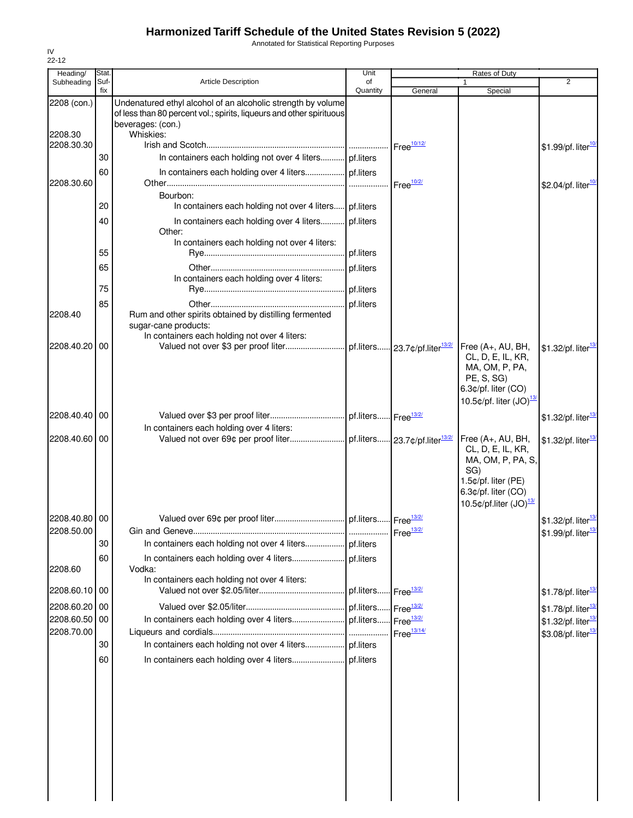Annotated for Statistical Reporting Purposes

|                                                                                                                                                                                                  | Rates of Duty                   |
|--------------------------------------------------------------------------------------------------------------------------------------------------------------------------------------------------|---------------------------------|
| Suf-<br>Subheading<br><b>Article Description</b><br>of<br>1<br>fix<br>Quantity<br>Special<br>General                                                                                             | $\overline{2}$                  |
| Undenatured ethyl alcohol of an alcoholic strength by volume<br>2208 (con.)<br>of less than 80 percent vol.; spirits, liqueurs and other spirituous<br>beverages: (con.)<br>Whiskies:<br>2208.30 |                                 |
| 2208.30.30<br>Free <sup>10/12/</sup>                                                                                                                                                             | \$1.99/pf. liter <sup>10</sup>  |
| In containers each holding not over 4 liters pf.liters<br>30                                                                                                                                     |                                 |
| 60                                                                                                                                                                                               |                                 |
| 2208.30.60<br>Free <sup>10/2/</sup>                                                                                                                                                              | \$2.04/pf. liter <sup>10</sup>  |
| Bourbon:                                                                                                                                                                                         |                                 |
| In containers each holding not over 4 liters pf.liters<br>20                                                                                                                                     |                                 |
| In containers each holding over 4 liters pf.liters<br>40<br>Other:                                                                                                                               |                                 |
| In containers each holding not over 4 liters:                                                                                                                                                    |                                 |
| 55<br>pf.liters                                                                                                                                                                                  |                                 |
| pf.liters<br>65                                                                                                                                                                                  |                                 |
| In containers each holding over 4 liters:                                                                                                                                                        |                                 |
| 75                                                                                                                                                                                               |                                 |
| pf.liters<br>85                                                                                                                                                                                  |                                 |
| Rum and other spirits obtained by distilling fermented<br>2208.40<br>sugar-cane products:                                                                                                        |                                 |
| In containers each holding not over 4 liters:                                                                                                                                                    |                                 |
| 2208.40.20 00<br>pf.liters 23.7¢/pf.liter <sup>13/2/</sup><br>Free $(A+, AU, BH,$<br>CL, D, E, IL, KR,<br>MA, OM, P, PA,<br>PE, S, SG)<br>6.3¢/pf. liter (CO)                                    | \$1.32/pf. liter <sup>13</sup>  |
| 10.5 $\phi$ /pf. liter (JO) $^{13}$                                                                                                                                                              |                                 |
| 2208.40.40 00                                                                                                                                                                                    | \$1.32/pf. liter <sup>13</sup>  |
| In containers each holding over 4 liters:                                                                                                                                                        |                                 |
| 2208.40.60 00<br>Free (A+, AU, BH,<br>CL, D, E, IL, KR,<br>MA, OM, P, PA, S,<br>SG)<br>1.5¢/pf. liter (PE)<br>6.3¢/pf. liter (CO)<br>10.5 $\text{c}/\text{pf}$ .liter (JO) $\frac{13}{2}$        | $$1.32$ /pf. liter $^{13}$      |
| 2208.40.80 00                                                                                                                                                                                    | \$1.32/pf. liter <sup>13</sup>  |
| 2208.50.00                                                                                                                                                                                       | \$1.99/pf. liter <sup>13</sup>  |
| 30                                                                                                                                                                                               |                                 |
| 60                                                                                                                                                                                               |                                 |
| 2208.60<br>Vodka:<br>In containers each holding not over 4 liters:                                                                                                                               |                                 |
| 2208.60.10 00<br>pf.liters<br>Free $\frac{13/2}{2}$                                                                                                                                              | \$1.78/pf. liter <sup>13/</sup> |
| 2208.60.20<br>00<br>pf.liters<br>Free <sup>13/2/</sup>                                                                                                                                           | \$1.78/pf. liter <sup>13/</sup> |
| 2208.60.50 00<br>Free <sup>13/2/</sup>                                                                                                                                                           | \$1.32/pf. liter <sup>13</sup>  |
| 2208.70.00<br>Free <sup>13/14/</sup>                                                                                                                                                             | \$3.08/pf. liter <sup>13</sup>  |
| 30                                                                                                                                                                                               |                                 |
| 60                                                                                                                                                                                               |                                 |
|                                                                                                                                                                                                  |                                 |
|                                                                                                                                                                                                  |                                 |
|                                                                                                                                                                                                  |                                 |
|                                                                                                                                                                                                  |                                 |
|                                                                                                                                                                                                  |                                 |
|                                                                                                                                                                                                  |                                 |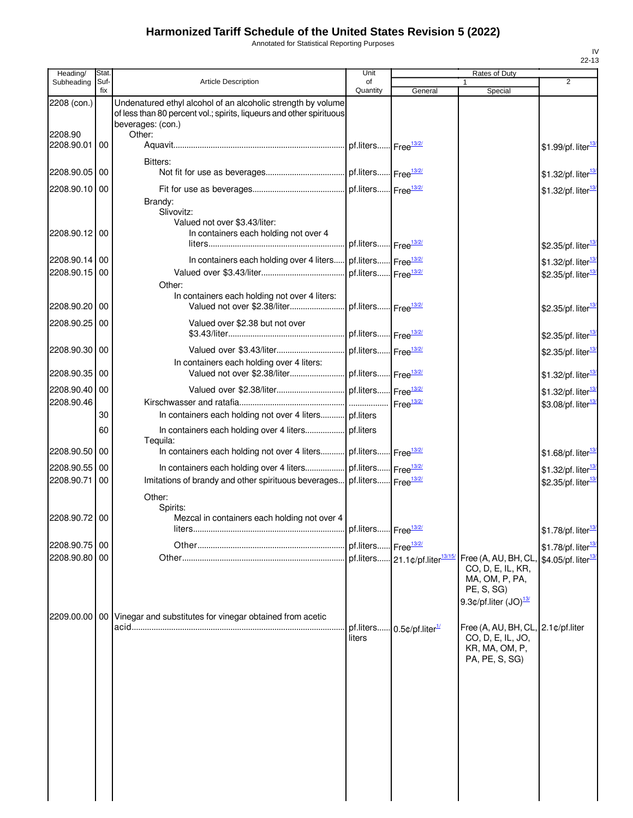Annotated for Statistical Reporting Purposes

| Heading/                    | Stat.           |                                                                                                                                                                     | Unit                            |                                            | Rates of Duty                                                                                 |                                                                  |
|-----------------------------|-----------------|---------------------------------------------------------------------------------------------------------------------------------------------------------------------|---------------------------------|--------------------------------------------|-----------------------------------------------------------------------------------------------|------------------------------------------------------------------|
| Subheading                  | Suf-<br>fix     | <b>Article Description</b>                                                                                                                                          | of<br>Quantity                  | General                                    | 1<br>Special                                                                                  | $\overline{2}$                                                   |
| 2208 (con.)<br>2208.90      |                 | Undenatured ethyl alcohol of an alcoholic strength by volume<br>of less than 80 percent vol.; spirits, liqueurs and other spirituous<br>beverages: (con.)<br>Other: |                                 |                                            |                                                                                               |                                                                  |
| 2208.90.01                  | 00              |                                                                                                                                                                     | pf.liters Free <sup>13/2/</sup> |                                            |                                                                                               | \$1.99/pf. liter <sup>13</sup>                                   |
| 2208.90.05 00               |                 | Bitters:                                                                                                                                                            |                                 |                                            |                                                                                               | \$1.32/pf. liter <sup>13</sup>                                   |
| 2208.90.10 00               |                 |                                                                                                                                                                     |                                 |                                            |                                                                                               | \$1.32/pf. liter <sup>13</sup>                                   |
| 2208.90.12 00               |                 | Brandy:<br>Slivovitz:<br>Valued not over \$3.43/liter:<br>In containers each holding not over 4                                                                     | pf.liters Free <sup>13/2/</sup> |                                            |                                                                                               |                                                                  |
|                             |                 |                                                                                                                                                                     |                                 |                                            |                                                                                               | \$2.35/pf. liter <sup>13</sup>                                   |
| 2208.90.14 00<br>2208.90.15 | 00              | In containers each holding over 4 liters                                                                                                                            | pf.liters Free <sup>13/2/</sup> |                                            |                                                                                               | \$1.32/pf. liter <sup>13</sup>                                   |
|                             |                 | Other:                                                                                                                                                              | pf.liters Free <sup>13/2/</sup> |                                            |                                                                                               | \$2.35/pf. liter <sup>13</sup>                                   |
| 2208.90.20                  | 00              | In containers each holding not over 4 liters:<br>Valued not over \$2.38/liter                                                                                       | pf.liters Free <sup>13/2/</sup> |                                            |                                                                                               | \$2.35/pf. liter <sup>13</sup>                                   |
| 2208.90.25 00               |                 | Valued over \$2.38 but not over                                                                                                                                     | pf.liters Free <sup>13/2/</sup> |                                            |                                                                                               | \$2.35/pf. liter <sup>13</sup>                                   |
| 2208.90.30 00               |                 | Valued over \$3.43/liter                                                                                                                                            | pf.liters Free <sup>13/2/</sup> |                                            |                                                                                               | \$2.35/pf. liter <sup>13</sup>                                   |
| 2208.90.35 00               |                 | In containers each holding over 4 liters:<br>Valued not over \$2.38/liter                                                                                           | pf.liters Free <sup>13/2/</sup> |                                            |                                                                                               | \$1.32/pf. liter $\frac{13}{2}$                                  |
| 2208.90.40 00               |                 |                                                                                                                                                                     |                                 |                                            |                                                                                               | \$1.32/pf. liter <sup>13</sup>                                   |
| 2208.90.46                  |                 |                                                                                                                                                                     |                                 | Free $\frac{13/2}{2}$                      |                                                                                               | \$3.08/pf. liter <sup>13</sup>                                   |
|                             | 30              | In containers each holding not over 4 liters pf.liters                                                                                                              |                                 |                                            |                                                                                               |                                                                  |
|                             | 60              | In containers each holding over 4 liters pf.liters                                                                                                                  |                                 |                                            |                                                                                               |                                                                  |
| 2208.90.50                  | 00              | Tequila:<br>In containers each holding not over 4 liters                                                                                                            | pf.liters Free <sup>13/2/</sup> |                                            |                                                                                               | \$1.68/pf. liter <sup>13</sup>                                   |
| 2208.90.55                  | 00              | In containers each holding over 4 liters                                                                                                                            | pf.liters Free <sup>13/2/</sup> |                                            |                                                                                               | \$1.32/pf. liter <sup>13</sup>                                   |
| 2208.90.71                  | 00              | Imitations of brandy and other spirituous beverages                                                                                                                 | pf.liters Free <sup>13/2/</sup> |                                            |                                                                                               | \$2.35/pf. liter <sup>13</sup>                                   |
|                             |                 | Other:                                                                                                                                                              |                                 |                                            |                                                                                               |                                                                  |
|                             |                 | Spirits:                                                                                                                                                            |                                 |                                            |                                                                                               |                                                                  |
| 2208.90.72 00               |                 | Mezcal in containers each holding not over 4<br><b>liters</b>                                                                                                       | pf.liters Free <sup>13/2/</sup> |                                            |                                                                                               | \$1.78/pf. liter <sup>13/</sup>                                  |
| 2208.90.75 00               |                 |                                                                                                                                                                     | pf.liters Free <sup>13/2/</sup> |                                            |                                                                                               |                                                                  |
| 2208.90.80 00               |                 |                                                                                                                                                                     |                                 | pf.liters 21.1¢/pf.liter <sup>13/15/</sup> | Free (A, AU, BH, CL,                                                                          | \$1.78/pf. liter <sup>13</sup><br>\$4.05/pf. liter <sup>13</sup> |
|                             |                 |                                                                                                                                                                     |                                 |                                            | CO, D, E, IL, KR,<br>MA, OM, P, PA,<br>PE, S, SG)<br>9.3 $\phi$ /pf.liter (JO) $\frac{13}{2}$ |                                                                  |
| 2209.00.00                  | 00 <sub>1</sub> | Vinegar and substitutes for vinegar obtained from acetic                                                                                                            | pf.liters<br>liters             | $0.5$ ¢/pf.liter $\frac{1}{2}$             | Free (A, AU, BH, CL, 2.1¢/pf.liter<br>CO, D, E, IL, JO,<br>KR, MA, OM, P,                     |                                                                  |
|                             |                 |                                                                                                                                                                     |                                 |                                            | PA, PE, S, SG)                                                                                |                                                                  |
|                             |                 |                                                                                                                                                                     |                                 |                                            |                                                                                               |                                                                  |
|                             |                 |                                                                                                                                                                     |                                 |                                            |                                                                                               |                                                                  |
|                             |                 |                                                                                                                                                                     |                                 |                                            |                                                                                               |                                                                  |
|                             |                 |                                                                                                                                                                     |                                 |                                            |                                                                                               |                                                                  |
|                             |                 |                                                                                                                                                                     |                                 |                                            |                                                                                               |                                                                  |
|                             |                 |                                                                                                                                                                     |                                 |                                            |                                                                                               |                                                                  |